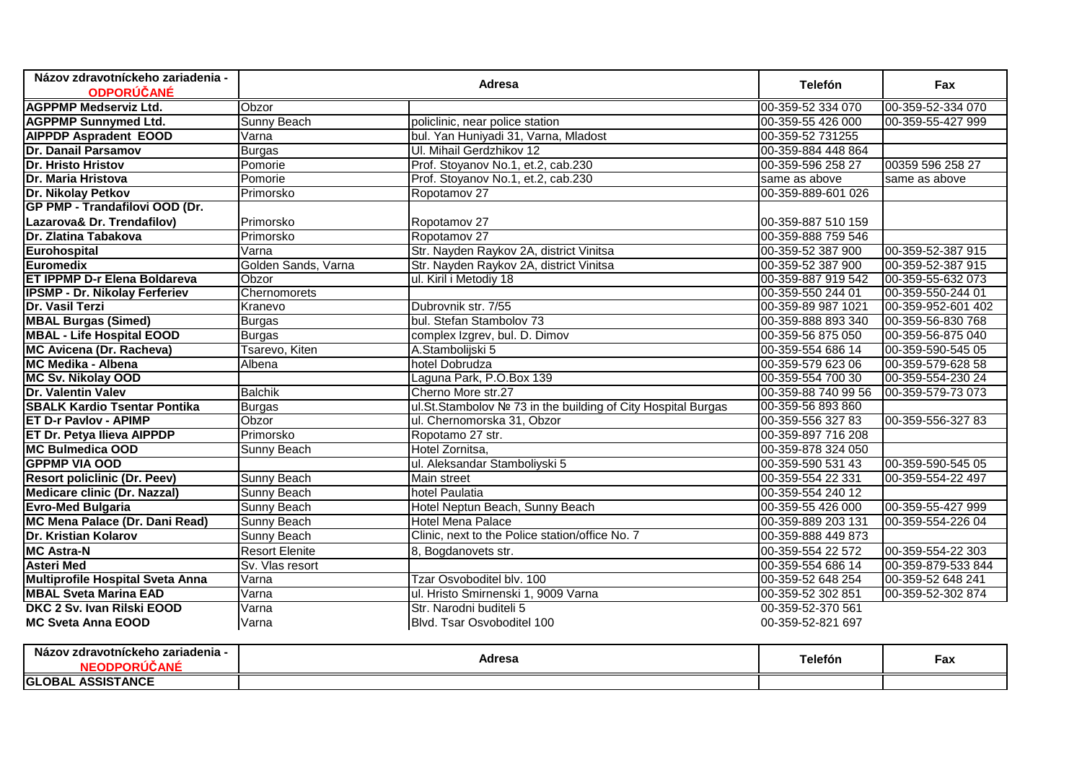| Názov zdravotníckeho zariadenia -    | Adresa              |                                                              | <b>Telefón</b>      | Fax                |
|--------------------------------------|---------------------|--------------------------------------------------------------|---------------------|--------------------|
| <b>ODPORÚČANÉ</b>                    |                     |                                                              |                     |                    |
| <b>AGPPMP Medserviz Ltd.</b>         | Obzor               |                                                              | 00-359-52 334 070   | 00-359-52-334 070  |
| <b>AGPPMP Sunnymed Ltd.</b>          | Sunny Beach         | policlinic, near police station                              | 00-359-55 426 000   | 00-359-55-427 999  |
| <b>AIPPDP Aspradent EOOD</b>         | Varna               | bul. Yan Huniyadi 31, Varna, Mladost                         | 00-359-52 731255    |                    |
| Dr. Danail Parsamov                  | <b>Burgas</b>       | Ul. Mihail Gerdzhikov 12                                     | 00-359-884 448 864  |                    |
| <b>Dr. Hristo Hristov</b>            | Pomorie             | Prof. Stoyanov No.1, et.2, cab.230                           | 00-359-596 258 27   | 00359 596 258 27   |
| Dr. Maria Hristova                   | Pomorie             | Prof. Stoyanov No.1, et.2, cab.230                           | same as above       | same as above      |
| Dr. Nikolay Petkov                   | Primorsko           | Ropotamov <sub>27</sub>                                      | 00-359-889-601 026  |                    |
| GP PMP - Trandafilovi OOD (Dr.       |                     |                                                              |                     |                    |
| Lazarova& Dr. Trendafilov)           | Primorsko           | Ropotamov 27                                                 | 00-359-887 510 159  |                    |
| Dr. Zlatina Tabakova                 | Primorsko           | Ropotamov 27                                                 | 00-359-888 759 546  |                    |
| Eurohospital                         | Varna               | Str. Nayden Raykov 2A, district Vinitsa                      | 00-359-52 387 900   | 00-359-52-387 915  |
| Euromedix                            | Golden Sands, Varna | Str. Nayden Raykov 2A, district Vinitsa                      | 00-359-52 387 900   | 00-359-52-387 915  |
| <b>ET IPPMP D-r Elena Boldareva</b>  | Obzor               | ul. Kiril i Metodiy 18                                       | 00-359-887 919 542  | 00-359-55-632 073  |
| <b>IPSMP - Dr. Nikolay Ferferiev</b> | Chernomorets        |                                                              | 00-359-550 244 01   | 00-359-550-244 01  |
| Dr. Vasil Terzi                      | Kranevo             | Dubrovnik str. 7/55                                          | 00-359-89 987 1021  | 00-359-952-601 402 |
| <b>MBAL Burgas (Simed)</b>           | <b>Burgas</b>       | bul. Stefan Stambolov 73                                     | 00-359-888 893 340  | 00-359-56-830 768  |
| <b>MBAL - Life Hospital EOOD</b>     | <b>Burgas</b>       | complex Izgrev, bul. D. Dimov                                | 00-359-56 875 050   | 00-359-56-875 040  |
| MC Avicena (Dr. Racheva)             | Tsarevo, Kiten      | A.Stambolijski 5                                             | 00-359-554 686 14   | 00-359-590-545 05  |
| <b>MC Medika - Albena</b>            | Albena              | hotel Dobrudza                                               | 00-359-579 623 06   | 00-359-579-628 58  |
| MC Sv. Nikolay OOD                   |                     | Laguna Park, P.O.Box 139                                     | 00-359-554 700 30   | 00-359-554-230 24  |
| Dr. Valentin Valev                   | <b>Balchik</b>      | Cherno More str.27                                           | 00-359-88 740 99 56 | 00-359-579-73 073  |
| <b>SBALK Kardio Tsentar Pontika</b>  | <b>Burgas</b>       | ul.St.Stambolov № 73 in the building of City Hospital Burgas | 00-359-56 893 860   |                    |
| <b>ET D-r Pavlov - APIMP</b>         | Obzor               | ul. Chernomorska 31, Obzor                                   | 00-359-556 327 83   | 00-359-556-32783   |
| ET Dr. Petya Ilieva AIPPDP           | Primorsko           | Ropotamo 27 str.                                             | 00-359-897 716 208  |                    |
| <b>MC Bulmedica OOD</b>              | <b>Sunny Beach</b>  | Hotel Zornitsa,                                              | 00-359-878 324 050  |                    |
| <b>GPPMP VIA OOD</b>                 |                     | ul. Aleksandar Stamboliyski 5                                | 00-359-590 531 43   | 00-359-590-545 05  |
| <b>Resort policlinic (Dr. Peev)</b>  | Sunny Beach         | Main street                                                  | 00-359-554 22 331   | 00-359-554-22 497  |
| <b>Medicare clinic (Dr. Nazzal)</b>  | Sunny Beach         | hotel Paulatia                                               | 00-359-554 240 12   |                    |
| <b>Evro-Med Bulgaria</b>             | Sunny Beach         | Hotel Neptun Beach, Sunny Beach                              | 00-359-55 426 000   | 00-359-55-427 999  |
| MC Mena Palace (Dr. Dani Read)       | <b>Sunny Beach</b>  | <b>Hotel Mena Palace</b>                                     | 00-359-889 203 131  | 00-359-554-226 04  |
| <b>Dr. Kristian Kolarov</b>          | Sunny Beach         | Clinic, next to the Police station/office No. 7              | 00-359-888 449 873  |                    |
| <b>MC Astra-N</b>                    | Resort Elenite      | 8, Bogdanovets str.                                          | 00-359-554 22 572   | 00-359-554-22 303  |
| <b>Asteri Med</b>                    | Sv. Vlas resort     |                                                              | 00-359-554 686 14   | 00-359-879-533 844 |
| Multiprofile Hospital Sveta Anna     | Varna               | Tzar Osvoboditel blv. 100                                    | 00-359-52 648 254   | 00-359-52 648 241  |
| <b>MBAL Sveta Marina EAD</b>         | Varna               | ul. Hristo Smirnenski 1, 9009 Varna                          | 00-359-52 302 851   | 00-359-52-302 874  |
| DKC 2 Sv. Ivan Rilski EOOD           | Varna               | Str. Narodni buditeli 5                                      | 00-359-52-370 561   |                    |
| <b>MC Sveta Anna EOOD</b>            | Varna               | Blvd. Tsar Osvoboditel 100                                   | 00-359-52-821 697   |                    |

| Názov<br>azov zdravotnickeho zariadenia · | Adresa | <b>⊺elefon</b> | $-$<br>Fax |
|-------------------------------------------|--------|----------------|------------|
| <b>ASSISTANCE</b><br><b>GLOBAL</b>        |        |                |            |